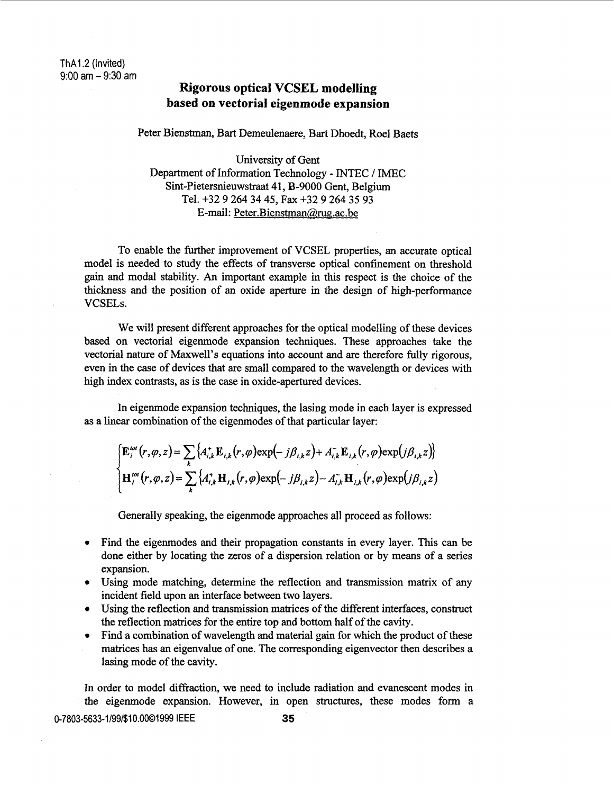## **Rigorous optical VCSEL modelling based on vectorial eigenmode expansion**

Peter Bienstman, **Bart** Demeulenaere, **Bart** Dhoedt, Roe1 Baets

University of Gent Department of Information Technology - INTEC / IMEC Sint-Pietersnieuwstraat 41, B-9000 Gent, Belgium Tel. **+32** 9 **264 34 45, Fax +32 9 264 35 93**  E-mail: **Peter.Bienstman@,rua.ac.be** 

To enable the further improvement of VCSEL properties, an accurate optical model is needed to study the effects of transverse optical confinement on threshold gain and modal stability. **An** important example in this respect is the choice of the thickness and the position of an oxide aperture in the design of high-performance **VCSELs.** 

We will present different approaches for the optical modelling of these devices based on vectorial eigenmode expansion techniques. These approaches take the vectorial nature of Maxwell's equations into account and are therefore fully rigorous, even in the case of devices that are small compared to the wavelength or devices with high index contrasts, as is the case in oxide-apertured devices.

In eigenmode expansion techniques, the lasing mode in each layer is expressed as a linear combination of the eigenmodes of that particular layer:

$$
\begin{cases}\n\mathbf{E}_{i}^{\text{tot}}(r,\varphi,z) = \sum_{k} \{A_{i,k}^{+} \mathbf{E}_{i,k}(r,\varphi) \exp(-j\beta_{i,k}z) + A_{i,k}^{-} \mathbf{E}_{i,k}(r,\varphi) \exp(j\beta_{i,k}z)\} \\
\mathbf{H}_{i}^{\text{tot}}(r,\varphi,z) = \sum_{k} \{A_{i,k}^{+} \mathbf{H}_{i,k}(r,\varphi) \exp(-j\beta_{i,k}z) - A_{i,k}^{-} \mathbf{H}_{i,k}(r,\varphi) \exp(j\beta_{i,k}z)\n\end{cases}
$$

Generally speaking, the eigenmode approaches all proceed as follows:

- Find the eigenmodes and their propagation constants in every layer. This can be done either by locating the zeros of a dispersion relation or by means of a series expansion.
- Using mode matching, determine the reflection and transmission matrix of any incident field upon an interface between two layers.
- Using the reflection and transmission matrices of the different interfaces, construct the reflection matrices for the entire top and bottom half of the cavity.
- $\bullet$ Find a combination of wavelength and material gain for which the product of these matrices has an eigenvalue of one. The corresponding eigenvector then describes a lasing mode of the cavity.

In order to model diffraction, we need to include radiation and evanescent modes in the eigenmode expansion. However, in open structures, these modes form a 0-7803-5633-1/99/\$10.0001999 IEEE **35**